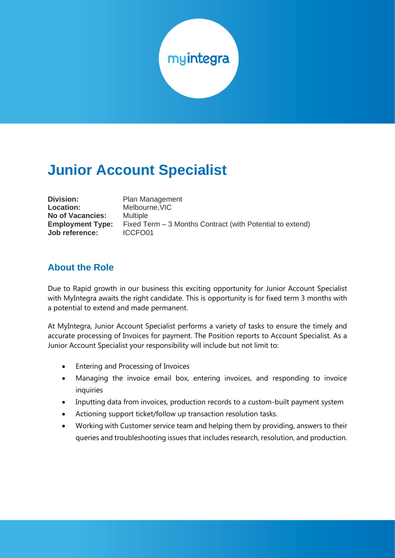

# **Junior Account Specialist**

**Division:** Plan Management **Location:** Melbourne,VIC **No of Vacancies:** Multiple **Job reference:** ICCFO01

**Employment Type:** Fixed Term – 3 Months Contract (with Potential to extend)

#### **About the Role**

Due to Rapid growth in our business this exciting opportunity for Junior Account Specialist with MyIntegra awaits the right candidate. This is opportunity is for fixed term 3 months with a potential to extend and made permanent.

At MyIntegra, Junior Account Specialist performs a variety of tasks to ensure the timely and accurate processing of Invoices for payment. The Position reports to Account Specialist. As a Junior Account Specialist your responsibility will include but not limit to:

- Entering and Processing of Invoices
- Managing the invoice email box, entering invoices, and responding to invoice inquiries
- Inputting data from invoices, production records to a custom-built payment system
- Actioning support ticket/follow up transaction resolution tasks.
- Working with Customer service team and helping them by providing, answers to their queries and troubleshooting issues that includes research, resolution, and production.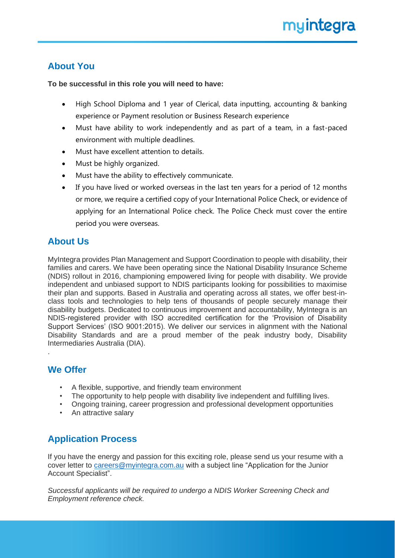#### **About You**

**To be successful in this role you will need to have:**

- High School Diploma and 1 year of Clerical, data inputting, accounting & banking experience or Payment resolution or Business Research experience
- Must have ability to work independently and as part of a team, in a fast-paced environment with multiple deadlines.
- Must have excellent attention to details.
- Must be highly organized.
- Must have the ability to effectively communicate.
- If you have lived or worked overseas in the last ten years for a period of 12 months or more, we require a certified copy of your International Police Check, or evidence of applying for an International Police check. The Police Check must cover the entire period you were overseas.

### **About Us**

MyIntegra provides Plan Management and Support Coordination to people with disability, their families and carers. We have been operating since the National Disability Insurance Scheme (NDIS) rollout in 2016, championing empowered living for people with disability. We provide independent and unbiased support to NDIS participants looking for possibilities to maximise their plan and supports. Based in Australia and operating across all states, we offer best-inclass tools and technologies to help tens of thousands of people securely manage their disability budgets. Dedicated to continuous improvement and accountability, MyIntegra is an NDIS-registered provider with ISO accredited certification for the 'Provision of Disability Support Services' (ISO 9001:2015). We deliver our services in alignment with the National Disability Standards and are a proud member of the peak industry body, Disability Intermediaries Australia (DIA).

### **We Offer**

.

- A flexible, supportive, and friendly team environment
- The opportunity to help people with disability live independent and fulfilling lives.
- Ongoing training, career progression and professional development opportunities
- An attractive salary

## **Application Process**

If you have the energy and passion for this exciting role, please send us your resume with a cover letter to [careers@myintegra.com.au](mailto:careers@myintegra.com.au) with a subject line "Application for the Junior Account Specialist".

*Successful applicants will be required to undergo a NDIS Worker Screening Check and Employment reference check.*